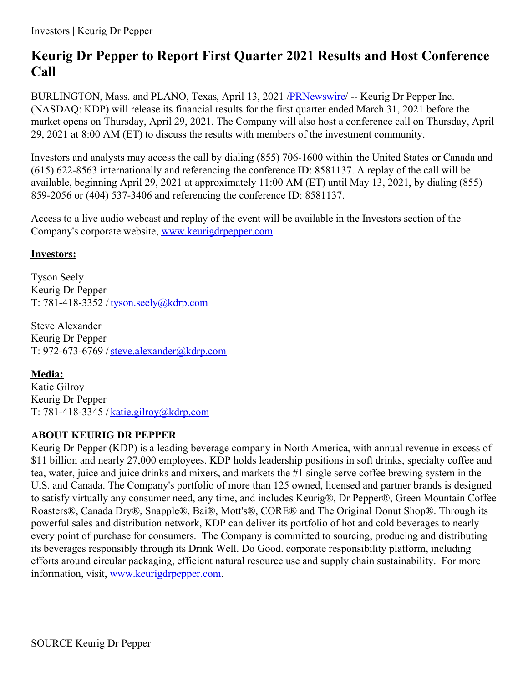## **Keurig Dr Pepper to Report First Quarter 2021 Results and Host Conference Call**

BURLINGTON, Mass. and PLANO, Texas, April 13, 2021 [/PRNewswire](http://www.prnewswire.com/)/ -- Keurig Dr Pepper Inc. (NASDAQ: KDP) will release its financial results for the first quarter ended March 31, 2021 before the market opens on Thursday, April 29, 2021. The Company will also host a conference call on Thursday, April 29, 2021 at 8:00 AM (ET) to discuss the results with members of the investment community.

Investors and analysts may access the call by dialing (855) 706-1600 within the United States or Canada and (615) 622-8563 internationally and referencing the conference ID: 8581137. A replay of the call will be available, beginning April 29, 2021 at approximately 11:00 AM (ET) until May 13, 2021, by dialing (855) 859-2056 or (404) 537-3406 and referencing the conference ID: 8581137.

Access to a live audio webcast and replay of the event will be available in the Investors section of the Company's corporate website, [www.keurigdrpepper.com](https://c212.net/c/link/?t=0&l=en&o=3126394-1&h=1186367981&u=http%3A%2F%2Fwww.keurigdrpepper.com%2F&a=www.keurigdrpepper.com).

## **Investors:**

Tyson Seely Keurig Dr Pepper T: 781-418-3352 / [tyson.seely@kdrp.com](mailto:tyson.seely@kdrp.com)

Steve Alexander Keurig Dr Pepper T: 972-673-6769 /[steve.alexander@kdrp.com](mailto:steve.alexander@kdrp.com)

## **Media:**

Katie Gilroy Keurig Dr Pepper T: 781-418-3345 / [katie.gilroy@kdrp.com](mailto:katie.gilroy@kdrp.com)

## **ABOUT KEURIG DR PEPPER**

Keurig Dr Pepper (KDP) is a leading beverage company in North America, with annual revenue in excess of \$11 billion and nearly 27,000 employees. KDP holds leadership positions in soft drinks, specialty coffee and tea, water, juice and juice drinks and mixers, and markets the #1 single serve coffee brewing system in the U.S. and Canada. The Company's portfolio of more than 125 owned, licensed and partner brands is designed to satisfy virtually any consumer need, any time, and includes Keurig®, Dr Pepper®, Green Mountain Coffee Roasters®, Canada Dry®, Snapple®, Bai®, Mott's®, CORE® and The Original Donut Shop®. Through its powerful sales and distribution network, KDP can deliver its portfolio of hot and cold beverages to nearly every point of purchase for consumers. The Company is committed to sourcing, producing and distributing its beverages responsibly through its Drink Well. Do Good. corporate responsibility platform, including efforts around circular packaging, efficient natural resource use and supply chain sustainability. For more information, visit, [www.keurigdrpepper.com](https://c212.net/c/link/?t=0&l=en&o=3126394-1&h=1186367981&u=http%3A%2F%2Fwww.keurigdrpepper.com%2F&a=www.keurigdrpepper.com).